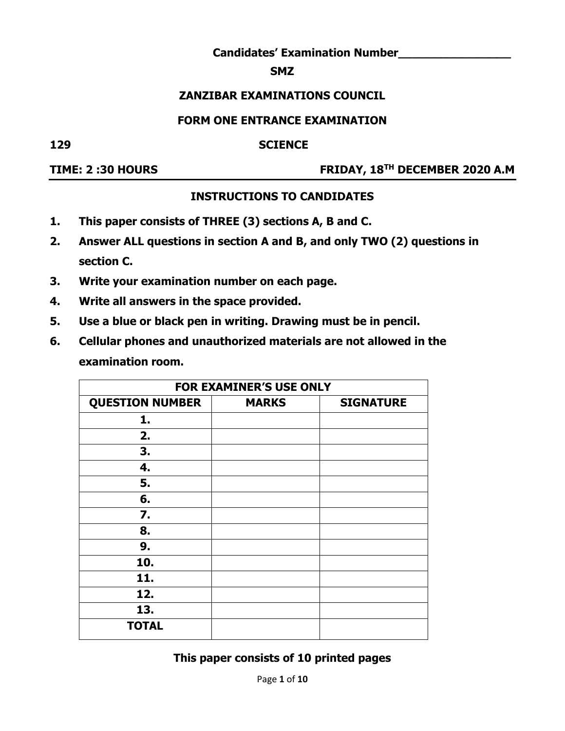#### **Candidates' Examination Number\_\_\_\_\_\_\_\_\_\_\_\_\_\_\_\_**

#### **SMZ**

### **ZANZIBAR EXAMINATIONS COUNCIL**

### **FORM ONE ENTRANCE EXAMINATION**

#### **129 SCIENCE**

**TIME: 2 :30 HOURS FRIDAY, 18TH DECEMBER 2020 A.M**

### **INSTRUCTIONS TO CANDIDATES**

- **1. This paper consists of THREE (3) sections A, B and C.**
- **2. Answer ALL questions in section A and B, and only TWO (2) questions in section C.**
- **3. Write your examination number on each page.**
- **4. Write all answers in the space provided.**
- **5. Use a blue or black pen in writing. Drawing must be in pencil.**
- **6. Cellular phones and unauthorized materials are not allowed in the examination room.**

|                        | FOR EXAMINER'S USE ONLY |                  |
|------------------------|-------------------------|------------------|
| <b>QUESTION NUMBER</b> | <b>MARKS</b>            | <b>SIGNATURE</b> |
| 1.                     |                         |                  |
| 2.                     |                         |                  |
| 3.                     |                         |                  |
| 4.                     |                         |                  |
| 5.                     |                         |                  |
| 6.                     |                         |                  |
| 7.                     |                         |                  |
| 8.                     |                         |                  |
| 9.                     |                         |                  |
| 10.                    |                         |                  |
| 11.                    |                         |                  |
| 12.                    |                         |                  |
| 13.                    |                         |                  |
| <b>TOTAL</b>           |                         |                  |

**This paper consists of 10 printed pages**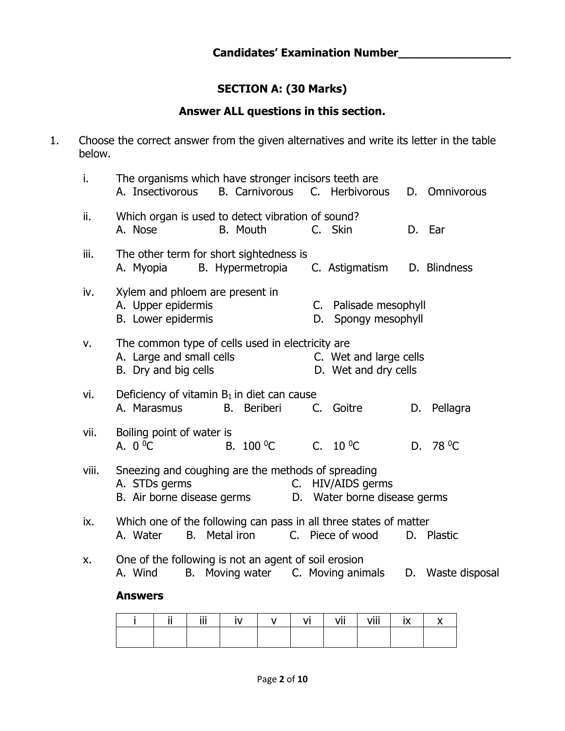# **SECTION A: (30 Marks)**

# **Answer ALL questions in this section.**

1. Choose the correct answer from the given alternatives and write its letter in the table below.

|       | <b>Answers</b>                                                                                            |                                                   |        |                   |
|-------|-----------------------------------------------------------------------------------------------------------|---------------------------------------------------|--------|-------------------|
| X.    | One of the following is not an agent of soil erosion<br>B. Moving water C. Moving animals<br>A. Wind      |                                                   |        | D. Waste disposal |
| ix.   | Which one of the following can pass in all three states of matter<br>B. Metal iron<br>A. Water            | C. Piece of wood                                  |        | D. Plastic        |
| viii. | Sneezing and coughing are the methods of spreading<br>A. STDs germs<br>B. Air borne disease germs         | C. HIV/AIDS germs<br>D. Water borne disease germs |        |                   |
| vii.  | Boiling point of water is<br>A. 0 °C<br>B. 100 °C                                                         | C. $10^{0}C$                                      |        | D. 78 $^0C$       |
| vi.   | Deficiency of vitamin $B_1$ in diet can cause<br>A. Marasmus<br>Beriberi<br>B.                            | C. Goitre                                         |        | D. Pellagra       |
| v.    | The common type of cells used in electricity are<br>A. Large and small cells<br>B. Dry and big cells      | C. Wet and large cells<br>D. Wet and dry cells    |        |                   |
| iv.   | Xylem and phloem are present in<br>A. Upper epidermis<br>B. Lower epidermis                               | C. Palisade mesophyll<br>D. Spongy mesophyll      |        |                   |
| iii.  | The other term for short sightedness is<br>B. Hypermetropia C. Astigmatism<br>A. Myopia                   |                                                   |        | D. Blindness      |
| ii.   | Which organ is used to detect vibration of sound?<br>B. Mouth<br>A. Nose                                  | C. Skin                                           | D. Ear |                   |
| i.    | The organisms which have stronger incisors teeth are<br>B. Carnivorous C. Herbivorous<br>A. Insectivorous |                                                   |        | D. Omnivorous     |

|  | <br>IV | $\mathbf{v}$ | .<br>vı | vii | viii | $\cdots$<br>$\mathbf{v}$ |  |
|--|--------|--------------|---------|-----|------|--------------------------|--|
|  |        |              |         |     |      |                          |  |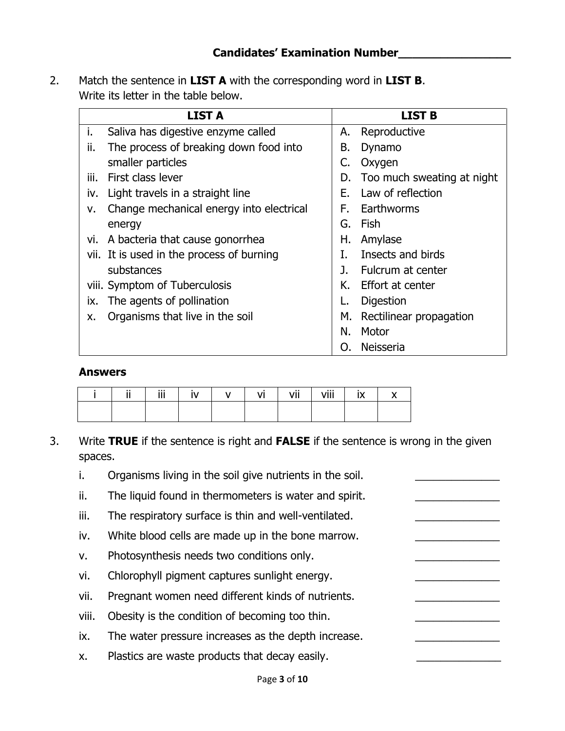2. Match the sentence in **LIST A** with the corresponding word in **LIST B**. Write its letter in the table below.

| <b>LIST A</b>                                  | <b>LIST B</b>                    |
|------------------------------------------------|----------------------------------|
| Saliva has digestive enzyme called<br>Τ.       | Reproductive<br>А.               |
| The process of breaking down food into<br>ii.  | В.<br>Dynamo                     |
| smaller particles                              | C.<br>Oxygen                     |
| First class lever<br>iii.                      | Too much sweating at night<br>D. |
| Light travels in a straight line<br>iv.        | Е.<br>Law of reflection          |
| Change mechanical energy into electrical<br>ν. | F.<br>Earthworms                 |
| energy                                         | Fish<br>G.                       |
| A bacteria that cause gonorrhea<br>vi.         | Н.<br>Amylase                    |
| vii. It is used in the process of burning      | Insects and birds<br>T.          |
| substances                                     | J.<br>Fulcrum at center          |
| viii. Symptom of Tuberculosis                  | K. .<br>Effort at center         |
| The agents of pollination<br>ix.               | Digestion                        |
| Organisms that live in the soil<br>x.          | Rectilinear propagation<br>М.    |
|                                                | N.<br>Motor                      |
|                                                | Neisseria<br>O.                  |

#### **Answers**

| ii.<br>. . | iii<br>. | $\cdot$ | $\mathbf{v}$ | vii i | viii<br>v 111 | IV<br>.,, |  |
|------------|----------|---------|--------------|-------|---------------|-----------|--|
|            |          |         |              |       |               |           |  |

3. Write **TRUE** if the sentence is right and **FALSE** if the sentence is wrong in the given spaces.

| i.    | Organisms living in the soil give nutrients in the soil. |  |
|-------|----------------------------------------------------------|--|
| ii.   | The liquid found in thermometers is water and spirit.    |  |
| iii.  | The respiratory surface is thin and well-ventilated.     |  |
| iv.   | White blood cells are made up in the bone marrow.        |  |
| v.    | Photosynthesis needs two conditions only.                |  |
| vi.   | Chlorophyll pigment captures sunlight energy.            |  |
| vii.  | Pregnant women need different kinds of nutrients.        |  |
| viii. | Obesity is the condition of becoming too thin.           |  |
| ix.   | The water pressure increases as the depth increase.      |  |
| x.    | Plastics are waste products that decay easily.           |  |
|       |                                                          |  |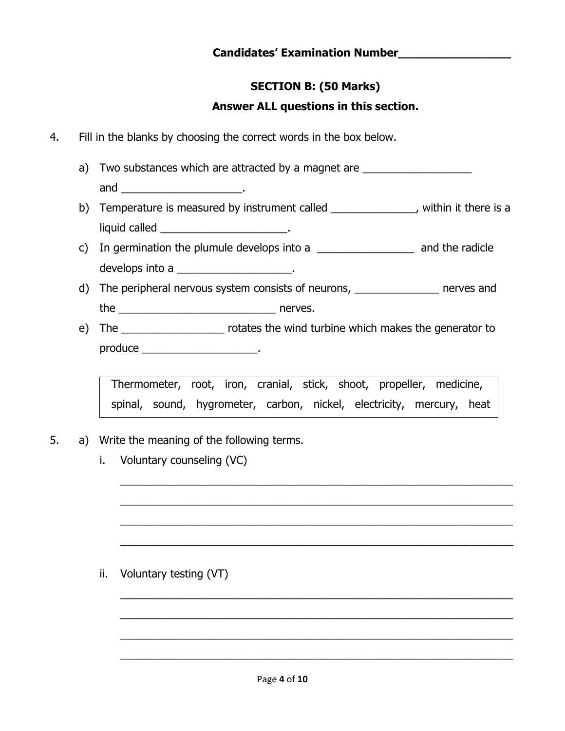# **SECTION B: (50 Marks)**

# **Answer ALL questions in this section.**

# 4. Fill in the blanks by choosing the correct words in the box below.

- a) Two substances which are attracted by a magnet are and  $\qquad \qquad \qquad \qquad \qquad$
- b) Temperature is measured by instrument called \_\_\_\_\_\_\_\_\_\_\_\_\_\_, within it there is a liquid called  $\Box$
- c) In germination the plumule develops into a \_\_\_\_\_\_\_\_\_\_\_\_\_\_\_\_\_\_\_\_ and the radicle develops into a \_\_\_\_\_\_\_\_\_\_\_\_\_\_\_\_\_\_\_\_.
- d) The peripheral nervous system consists of neurons, \_\_\_\_\_\_\_\_\_\_\_\_\_\_\_\_\_ nerves and the **the contract of the contract of the contract of the contract of the nerves.**
- e) The \_\_\_\_\_\_\_\_\_\_\_\_\_\_\_\_\_\_\_\_\_ rotates the wind turbine which makes the generator to produce \_\_\_\_\_\_\_\_\_\_\_\_\_\_\_\_\_\_\_\_\_\_\_\_\_\_.

 Thermometer, root, iron, cranial, stick, shoot, propeller, medicine, spinal, sound, hygrometer, carbon, nickel, electricity, mercury, heat

\_\_\_\_\_\_\_\_\_\_\_\_\_\_\_\_\_\_\_\_\_\_\_\_\_\_\_\_\_\_\_\_\_\_\_\_\_\_\_\_\_\_\_\_\_\_\_\_\_\_\_\_\_\_\_\_\_\_\_\_\_\_\_\_\_

\_\_\_\_\_\_\_\_\_\_\_\_\_\_\_\_\_\_\_\_\_\_\_\_\_\_\_\_\_\_\_\_\_\_\_\_\_\_\_\_\_\_\_\_\_\_\_\_\_\_\_\_\_\_\_\_\_\_\_\_\_\_\_\_\_

\_\_\_\_\_\_\_\_\_\_\_\_\_\_\_\_\_\_\_\_\_\_\_\_\_\_\_\_\_\_\_\_\_\_\_\_\_\_\_\_\_\_\_\_\_\_\_\_\_\_\_\_\_\_\_\_\_\_\_\_\_\_\_\_\_

\_\_\_\_\_\_\_\_\_\_\_\_\_\_\_\_\_\_\_\_\_\_\_\_\_\_\_\_\_\_\_\_\_\_\_\_\_\_\_\_\_\_\_\_\_\_\_\_\_\_\_\_\_\_\_\_\_\_\_\_\_\_\_\_\_

\_\_\_\_\_\_\_\_\_\_\_\_\_\_\_\_\_\_\_\_\_\_\_\_\_\_\_\_\_\_\_\_\_\_\_\_\_\_\_\_\_\_\_\_\_\_\_\_\_\_\_\_\_\_\_\_\_\_\_\_\_\_\_\_\_

\_\_\_\_\_\_\_\_\_\_\_\_\_\_\_\_\_\_\_\_\_\_\_\_\_\_\_\_\_\_\_\_\_\_\_\_\_\_\_\_\_\_\_\_\_\_\_\_\_\_\_\_\_\_\_\_\_\_\_\_\_\_\_\_\_

\_\_\_\_\_\_\_\_\_\_\_\_\_\_\_\_\_\_\_\_\_\_\_\_\_\_\_\_\_\_\_\_\_\_\_\_\_\_\_\_\_\_\_\_\_\_\_\_\_\_\_\_\_\_\_\_\_\_\_\_\_\_\_\_\_

\_\_\_\_\_\_\_\_\_\_\_\_\_\_\_\_\_\_\_\_\_\_\_\_\_\_\_\_\_\_\_\_\_\_\_\_\_\_\_\_\_\_\_\_\_\_\_\_\_\_\_\_\_\_\_\_\_\_\_\_\_\_\_\_\_

- 5. a) Write the meaning of the following terms.
	- i. Voluntary counseling (VC)

ii. Voluntary testing (VT)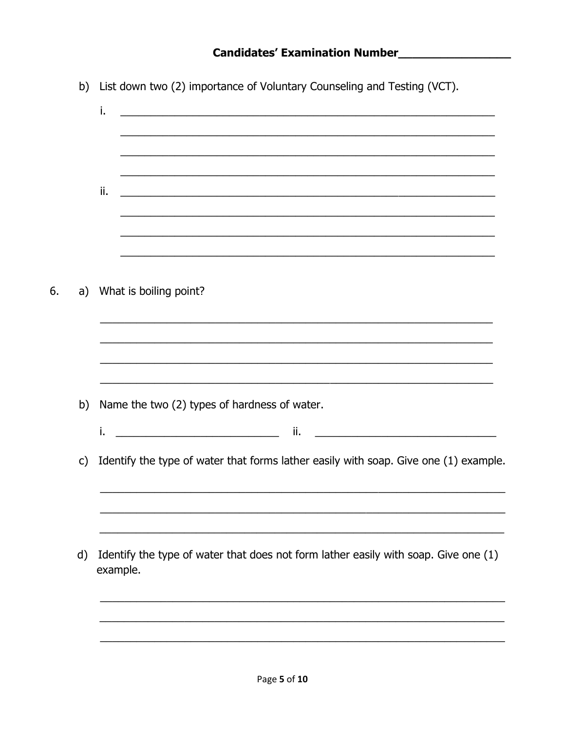| b)           | List down two (2) importance of Voluntary Counseling and Testing (VCT).                         |
|--------------|-------------------------------------------------------------------------------------------------|
|              | i.                                                                                              |
|              |                                                                                                 |
|              | ii.<br><u> 1989 - Johann Barbara, margaret eta idazlearia (h. 1989).</u>                        |
|              |                                                                                                 |
| a)           | What is boiling point?                                                                          |
|              |                                                                                                 |
| b)           | Name the two (2) types of hardness of water.                                                    |
|              | ii.<br>i.                                                                                       |
| $\mathsf{C}$ | Identify the type of water that forms lather easily with soap. Give one (1) example.            |
|              |                                                                                                 |
| $\mathsf{d}$ | Identify the type of water that does not form lather easily with soap. Give one (1)<br>example. |
|              |                                                                                                 |
|              |                                                                                                 |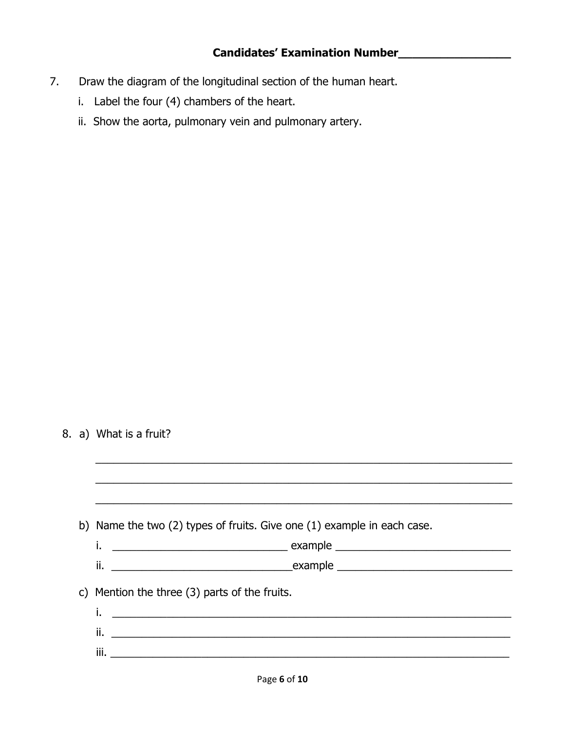- 7. Draw the diagram of the longitudinal section of the human heart.
	- i. Label the four (4) chambers of the heart.
	- ii. Show the aorta, pulmonary vein and pulmonary artery.

### 8. a) What is a fruit?

| b) Name the two (2) types of fruits. Give one (1) example in each case.                                               |
|-----------------------------------------------------------------------------------------------------------------------|
|                                                                                                                       |
|                                                                                                                       |
| c) Mention the three (3) parts of the fruits.                                                                         |
| <u>i. – La componenta de la componenta de la componenta de la componenta de la componenta de la componenta de la </u> |
|                                                                                                                       |
|                                                                                                                       |
|                                                                                                                       |

\_\_\_\_\_\_\_\_\_\_\_\_\_\_\_\_\_\_\_\_\_\_\_\_\_\_\_\_\_\_\_\_\_\_\_\_\_\_\_\_\_\_\_\_\_\_\_\_\_\_\_\_\_\_\_\_\_\_\_\_\_\_\_\_\_\_\_\_\_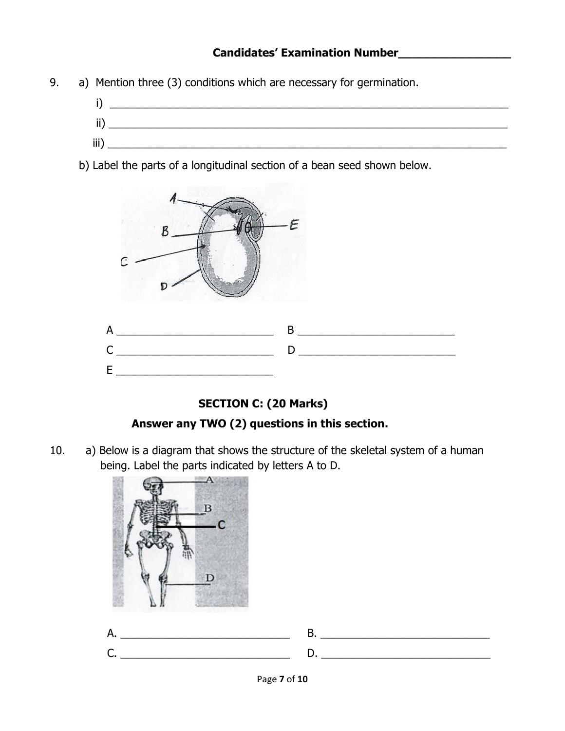## **Candidates' Examination Number\_\_\_\_\_\_\_\_\_\_\_\_\_\_\_\_**

- 9. a) Mention three (3) conditions which are necessary for germination.
	- i)  $\Box$
	- $\overline{\text{ii}}$  $\overline{\text{iii}}$ )
	- b) Label the parts of a longitudinal section of a bean seed shown below.



## **SECTION C: (20 Marks)**

### **Answer any TWO (2) questions in this section.**

10. a) Below is a diagram that shows the structure of the skeletal system of a human being. Label the parts indicated by letters A to D.





Page **7** of **10**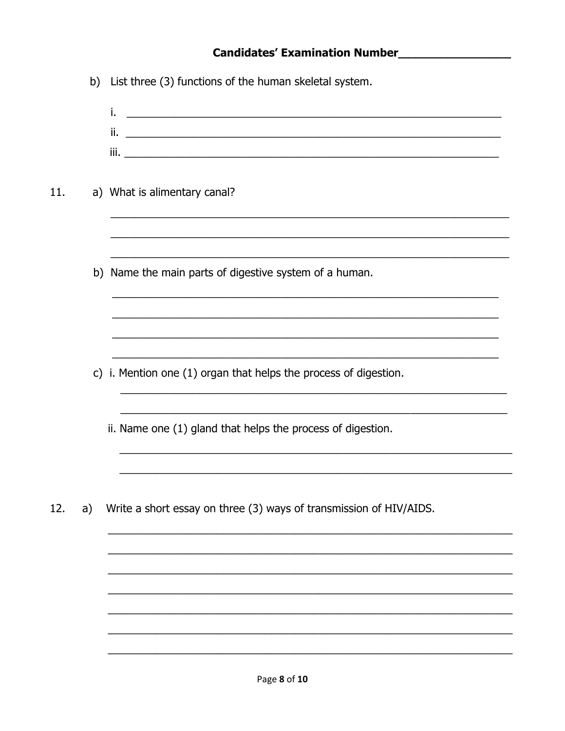# Candidates' Examination Number

|     |    | b) List three (3) functions of the human skeletal system.                                                                  |
|-----|----|----------------------------------------------------------------------------------------------------------------------------|
|     |    | i.<br><u> 2002 - Jan James James Jan James James James James James James James James James James James James James Jam</u> |
|     |    |                                                                                                                            |
|     |    |                                                                                                                            |
|     |    |                                                                                                                            |
| 11. |    | a) What is alimentary canal?                                                                                               |
|     |    |                                                                                                                            |
|     |    |                                                                                                                            |
|     |    | b) Name the main parts of digestive system of a human.                                                                     |
|     |    |                                                                                                                            |
|     |    |                                                                                                                            |
|     |    | c) i. Mention one (1) organ that helps the process of digestion.                                                           |
|     |    |                                                                                                                            |
|     |    | ii. Name one (1) gland that helps the process of digestion.                                                                |
|     |    |                                                                                                                            |
|     |    |                                                                                                                            |
| 12. | a) | Write a short essay on three (3) ways of transmission of HIV/AIDS.                                                         |
|     |    |                                                                                                                            |
|     |    |                                                                                                                            |
|     |    |                                                                                                                            |
|     |    |                                                                                                                            |
|     |    |                                                                                                                            |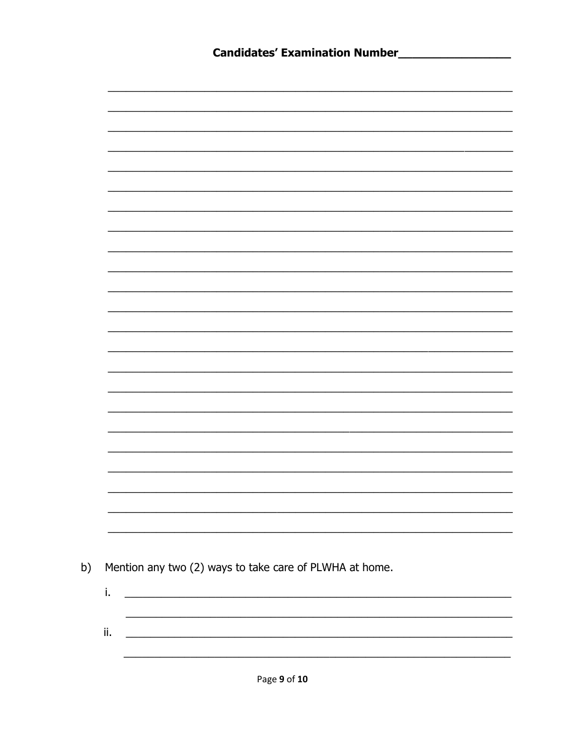|                                                                          | <b>Candidates' Examination Number__</b> |  |  |  |
|--------------------------------------------------------------------------|-----------------------------------------|--|--|--|
|                                                                          |                                         |  |  |  |
|                                                                          |                                         |  |  |  |
|                                                                          |                                         |  |  |  |
|                                                                          |                                         |  |  |  |
|                                                                          |                                         |  |  |  |
|                                                                          |                                         |  |  |  |
|                                                                          |                                         |  |  |  |
|                                                                          |                                         |  |  |  |
|                                                                          |                                         |  |  |  |
|                                                                          |                                         |  |  |  |
|                                                                          |                                         |  |  |  |
|                                                                          |                                         |  |  |  |
|                                                                          |                                         |  |  |  |
|                                                                          |                                         |  |  |  |
|                                                                          |                                         |  |  |  |
|                                                                          |                                         |  |  |  |
|                                                                          |                                         |  |  |  |
|                                                                          |                                         |  |  |  |
|                                                                          |                                         |  |  |  |
|                                                                          |                                         |  |  |  |
|                                                                          |                                         |  |  |  |
|                                                                          |                                         |  |  |  |
|                                                                          |                                         |  |  |  |
|                                                                          |                                         |  |  |  |
|                                                                          |                                         |  |  |  |
|                                                                          |                                         |  |  |  |
|                                                                          |                                         |  |  |  |
|                                                                          |                                         |  |  |  |
|                                                                          |                                         |  |  |  |
|                                                                          |                                         |  |  |  |
| Mention any two (2) ways to take care of PLWHA at home.                  |                                         |  |  |  |
|                                                                          |                                         |  |  |  |
| <u> 1989 - Johann John Stein, mars an deus Amerikaansk kommunister (</u> |                                         |  |  |  |
|                                                                          |                                         |  |  |  |
|                                                                          |                                         |  |  |  |
| <u> 1989 - Johann Barbara, martxa alemaniar a</u>                        |                                         |  |  |  |

 $b)$